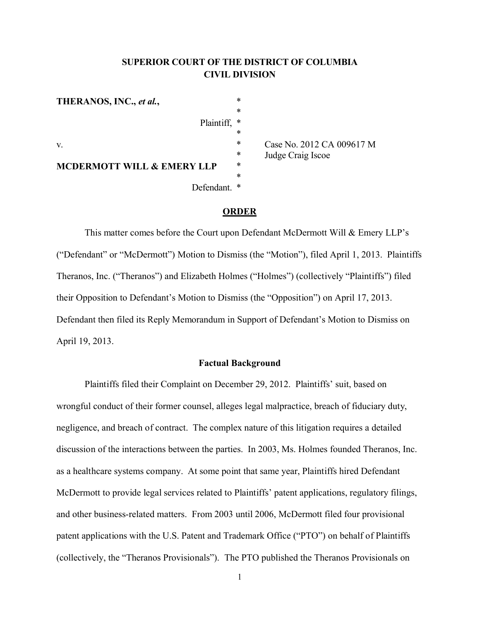# **SUPERIOR COURT OF THE DISTRICT OF COLUMBIA CIVIL DIVISION**

\* \*

\*

\* \*

Plaintiff, \*

Defendant. \*

**THERANOS, INC.,** *et al.***,**

v.

\* Case No. 2012 CA 009617 M<br> $*$  Indee Craig Iscoe Judge Craig Iscoe

# **ORDER**

This matter comes before the Court upon Defendant McDermott Will & Emery LLP's ("Defendant" or "McDermott") Motion to Dismiss (the "Motion"), filed April 1, 2013. Plaintiffs Theranos, Inc. ("Theranos") and Elizabeth Holmes ("Holmes") (collectively "Plaintiffs") filed their Opposition to Defendant's Motion to Dismiss (the "Opposition") on April 17, 2013. Defendant then filed its Reply Memorandum in Support of Defendant's Motion to Dismiss on April 19, 2013.

#### **Factual Background**

Plaintiffs filed their Complaint on December 29, 2012. Plaintiffs' suit, based on wrongful conduct of their former counsel, alleges legal malpractice, breach of fiduciary duty, negligence, and breach of contract. The complex nature of this litigation requires a detailed discussion of the interactions between the parties. In 2003, Ms. Holmes founded Theranos, Inc. as a healthcare systems company. At some point that same year, Plaintiffs hired Defendant McDermott to provide legal services related to Plaintiffs' patent applications, regulatory filings, and other business-related matters. From 2003 until 2006, McDermott filed four provisional patent applications with the U.S. Patent and Trademark Office ("PTO") on behalf of Plaintiffs (collectively, the "Theranos Provisionals"). The PTO published the Theranos Provisionals on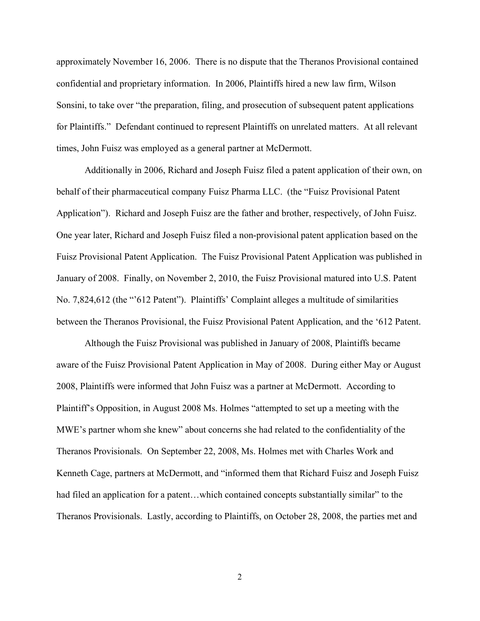approximately November 16, 2006. There is no dispute that the Theranos Provisional contained confidential and proprietary information. In 2006, Plaintiffs hired a new law firm, Wilson Sonsini, to take over "the preparation, filing, and prosecution of subsequent patent applications for Plaintiffs." Defendant continued to represent Plaintiffs on unrelated matters. At all relevant times, John Fuisz was employed as a general partner at McDermott.

Additionally in 2006, Richard and Joseph Fuisz filed a patent application of their own, on behalf of their pharmaceutical company Fuisz Pharma LLC. (the "Fuisz Provisional Patent Application"). Richard and Joseph Fuisz are the father and brother, respectively, of John Fuisz. One year later, Richard and Joseph Fuisz filed a non-provisional patent application based on the Fuisz Provisional Patent Application. The Fuisz Provisional Patent Application was published in January of 2008. Finally, on November 2, 2010, the Fuisz Provisional matured into U.S. Patent No. 7,824,612 (the "'612 Patent"). Plaintiffs' Complaint alleges a multitude of similarities between the Theranos Provisional, the Fuisz Provisional Patent Application, and the '612 Patent.

Although the Fuisz Provisional was published in January of 2008, Plaintiffs became aware of the Fuisz Provisional Patent Application in May of 2008. During either May or August 2008, Plaintiffs were informed that John Fuisz was a partner at McDermott. According to Plaintiff's Opposition, in August 2008 Ms. Holmes "attempted to set up a meeting with the MWE's partner whom she knew" about concerns she had related to the confidentiality of the Theranos Provisionals. On September 22, 2008, Ms. Holmes met with Charles Work and Kenneth Cage, partners at McDermott, and "informed them that Richard Fuisz and Joseph Fuisz had filed an application for a patent...which contained concepts substantially similar" to the Theranos Provisionals. Lastly, according to Plaintiffs, on October 28, 2008, the parties met and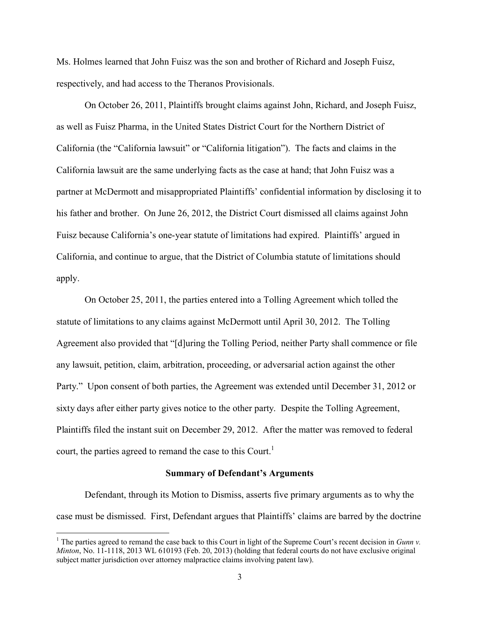Ms. Holmes learned that John Fuisz was the son and brother of Richard and Joseph Fuisz, respectively, and had access to the Theranos Provisionals.

On October 26, 2011, Plaintiffs brought claims against John, Richard, and Joseph Fuisz, as well as Fuisz Pharma, in the United States District Court for the Northern District of California (the "California lawsuit" or "California litigation"). The facts and claims in the California lawsuit are the same underlying facts as the case at hand; that John Fuisz was a partner at McDermott and misappropriated Plaintiffs' confidential information by disclosing it to his father and brother. On June 26, 2012, the District Court dismissed all claims against John Fuisz because California's one-year statute of limitations had expired. Plaintiffs' argued in California, and continue to argue, that the District of Columbia statute of limitations should apply.

On October 25, 2011, the parties entered into a Tolling Agreement which tolled the statute of limitations to any claims against McDermott until April 30, 2012. The Tolling Agreement also provided that "[d]uring the Tolling Period, neither Party shall commence or file any lawsuit, petition, claim, arbitration, proceeding, or adversarial action against the other Party." Upon consent of both parties, the Agreement was extended until December 31, 2012 or sixty days after either party gives notice to the other party. Despite the Tolling Agreement, Plaintiffs filed the instant suit on December 29, 2012. After the matter was removed to federal court, the parties agreed to remand the case to this Court.<sup>[1](#page-2-0)</sup>

#### **Summary of Defendant's Arguments**

Defendant, through its Motion to Dismiss, asserts five primary arguments as to why the case must be dismissed. First, Defendant argues that Plaintiffs' claims are barred by the doctrine

<span id="page-2-0"></span><sup>1</sup> The parties agreed to remand the case back to this Court in light of the Supreme Court's recent decision in *Gunn v. Minton*, No. 11-1118, 2013 WL 610193 (Feb. 20, 2013) (holding that federal courts do not have exclusive original subject matter jurisdiction over attorney malpractice claims involving patent law).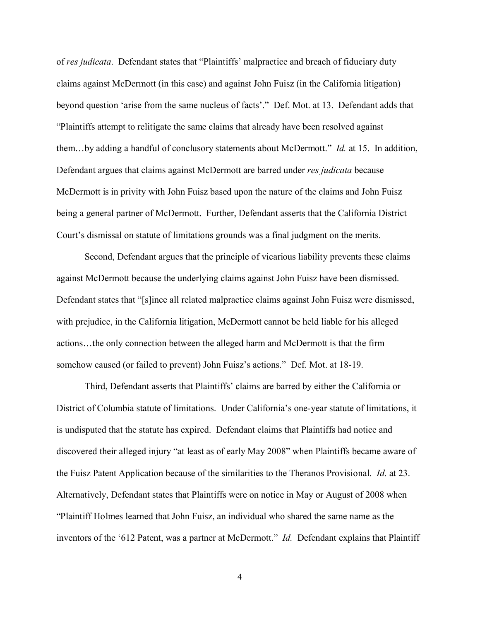of *res judicata*. Defendant states that "Plaintiffs' malpractice and breach of fiduciary duty claims against McDermott (in this case) and against John Fuisz (in the California litigation) beyond question 'arise from the same nucleus of facts'." Def. Mot. at 13. Defendant adds that "Plaintiffs attempt to relitigate the same claims that already have been resolved against them…by adding a handful of conclusory statements about McDermott." *Id.* at 15. In addition, Defendant argues that claims against McDermott are barred under *res judicata* because McDermott is in privity with John Fuisz based upon the nature of the claims and John Fuisz being a general partner of McDermott. Further, Defendant asserts that the California District Court's dismissal on statute of limitations grounds was a final judgment on the merits.

Second, Defendant argues that the principle of vicarious liability prevents these claims against McDermott because the underlying claims against John Fuisz have been dismissed. Defendant states that "[s]ince all related malpractice claims against John Fuisz were dismissed, with prejudice, in the California litigation, McDermott cannot be held liable for his alleged actions…the only connection between the alleged harm and McDermott is that the firm somehow caused (or failed to prevent) John Fuisz's actions." Def. Mot. at 18-19.

Third, Defendant asserts that Plaintiffs' claims are barred by either the California or District of Columbia statute of limitations. Under California's one-year statute of limitations, it is undisputed that the statute has expired. Defendant claims that Plaintiffs had notice and discovered their alleged injury "at least as of early May 2008" when Plaintiffs became aware of the Fuisz Patent Application because of the similarities to the Theranos Provisional. *Id.* at 23. Alternatively, Defendant states that Plaintiffs were on notice in May or August of 2008 when "Plaintiff Holmes learned that John Fuisz, an individual who shared the same name as the inventors of the '612 Patent, was a partner at McDermott." *Id.* Defendant explains that Plaintiff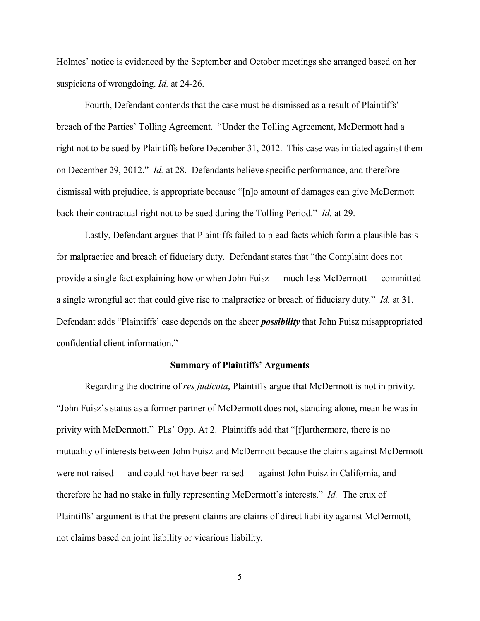Holmes' notice is evidenced by the September and October meetings she arranged based on her suspicions of wrongdoing. *Id.* at 24-26.

Fourth, Defendant contends that the case must be dismissed as a result of Plaintiffs' breach of the Parties' Tolling Agreement. "Under the Tolling Agreement, McDermott had a right not to be sued by Plaintiffs before December 31, 2012. This case was initiated against them on December 29, 2012." *Id.* at 28. Defendants believe specific performance, and therefore dismissal with prejudice, is appropriate because "[n]o amount of damages can give McDermott back their contractual right not to be sued during the Tolling Period." *Id.* at 29.

Lastly, Defendant argues that Plaintiffs failed to plead facts which form a plausible basis for malpractice and breach of fiduciary duty. Defendant states that "the Complaint does not provide a single fact explaining how or when John Fuisz — much less McDermott — committed a single wrongful act that could give rise to malpractice or breach of fiduciary duty." *Id.* at 31. Defendant adds "Plaintiffs' case depends on the sheer *possibility* that John Fuisz misappropriated confidential client information."

#### **Summary of Plaintiffs' Arguments**

Regarding the doctrine of *res judicata*, Plaintiffs argue that McDermott is not in privity. "John Fuisz's status as a former partner of McDermott does not, standing alone, mean he was in privity with McDermott." Pl.s' Opp. At 2. Plaintiffs add that "[f]urthermore, there is no mutuality of interests between John Fuisz and McDermott because the claims against McDermott were not raised — and could not have been raised — against John Fuisz in California, and therefore he had no stake in fully representing McDermott's interests." *Id.* The crux of Plaintiffs' argument is that the present claims are claims of direct liability against McDermott, not claims based on joint liability or vicarious liability.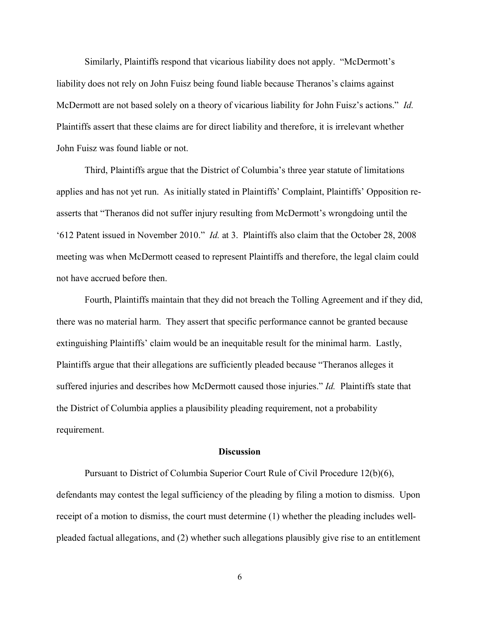Similarly, Plaintiffs respond that vicarious liability does not apply. "McDermott's liability does not rely on John Fuisz being found liable because Theranos's claims against McDermott are not based solely on a theory of vicarious liability for John Fuisz's actions." *Id.* Plaintiffs assert that these claims are for direct liability and therefore, it is irrelevant whether John Fuisz was found liable or not.

Third, Plaintiffs argue that the District of Columbia's three year statute of limitations applies and has not yet run. As initially stated in Plaintiffs' Complaint, Plaintiffs' Opposition reasserts that "Theranos did not suffer injury resulting from McDermott's wrongdoing until the '612 Patent issued in November 2010." *Id.* at 3. Plaintiffs also claim that the October 28, 2008 meeting was when McDermott ceased to represent Plaintiffs and therefore, the legal claim could not have accrued before then.

Fourth, Plaintiffs maintain that they did not breach the Tolling Agreement and if they did, there was no material harm. They assert that specific performance cannot be granted because extinguishing Plaintiffs' claim would be an inequitable result for the minimal harm. Lastly, Plaintiffs argue that their allegations are sufficiently pleaded because "Theranos alleges it suffered injuries and describes how McDermott caused those injuries." *Id.* Plaintiffs state that the District of Columbia applies a plausibility pleading requirement, not a probability requirement.

#### **Discussion**

Pursuant to District of Columbia Superior Court Rule of Civil Procedure 12(b)(6), defendants may contest the legal sufficiency of the pleading by filing a motion to dismiss. Upon receipt of a motion to dismiss, the court must determine (1) whether the pleading includes wellpleaded factual allegations, and (2) whether such allegations plausibly give rise to an entitlement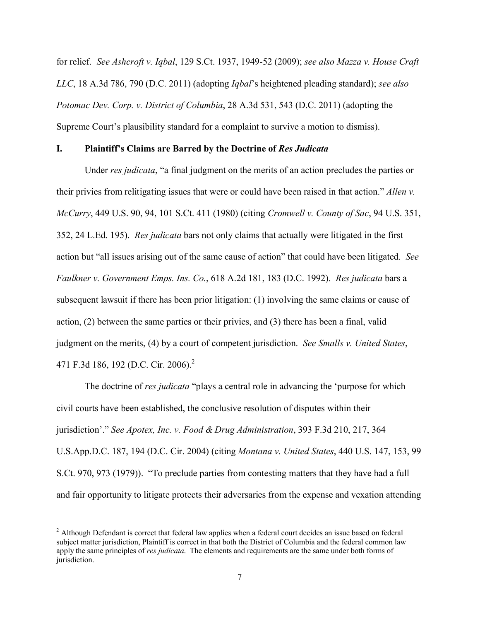for relief. *See Ashcroft v. Iqbal*, 129 S.Ct. 1937, 1949-52 (2009); *see also Mazza v. House Craft LLC*, 18 A.3d 786, 790 (D.C. 2011) (adopting *Iqbal*'s heightened pleading standard); *see also Potomac Dev. Corp. v. District of Columbia*, 28 A.3d 531, 543 (D.C. 2011) (adopting the Supreme Court's plausibility standard for a complaint to survive a motion to dismiss).

#### **I. Plaintiff's Claims are Barred by the Doctrine of** *Res Judicata*

Under *res judicata*, "a final judgment on the merits of an action precludes the parties or their privies from relitigating issues that were or could have been raised in that action." *Allen v. McCurry*, 449 U.S. 90, 94, 101 S.Ct. 411 (1980) (citing *Cromwell v. County of Sac*, 94 U.S. 351, 352, 24 L.Ed. 195). *Res judicata* bars not only claims that actually were litigated in the first action but "all issues arising out of the same cause of action" that could have been litigated. *See Faulkner v. Government Emps. Ins. Co.*, 618 A.2d 181, 183 (D.C. 1992). *Res judicata* bars a subsequent lawsuit if there has been prior litigation: (1) involving the same claims or cause of action, (2) between the same parties or their privies, and (3) there has been a final, valid judgment on the merits, (4) by a court of competent jurisdiction. *See Smalls v. United States*, 471 F.3d 186, 19[2](#page-6-0) (D.C. Cir. 2006).<sup>2</sup>

The doctrine of *res judicata* "plays a central role in advancing the 'purpose for which civil courts have been established, the conclusive resolution of disputes within their jurisdiction'." *See Apotex, Inc. v. Food & Drug Administration*, 393 F.3d 210, 217, 364 U.S.App.D.C. 187, 194 (D.C. Cir. 2004) (citing *Montana v. United States*, 440 U.S. 147, 153, 99 S.Ct. 970, 973 (1979)). "To preclude parties from contesting matters that they have had a full and fair opportunity to litigate protects their adversaries from the expense and vexation attending

<span id="page-6-0"></span> $2$  Although Defendant is correct that federal law applies when a federal court decides an issue based on federal subject matter jurisdiction, Plaintiff is correct in that both the District of Columbia and the federal common law apply the same principles of *res judicata*. The elements and requirements are the same under both forms of jurisdiction.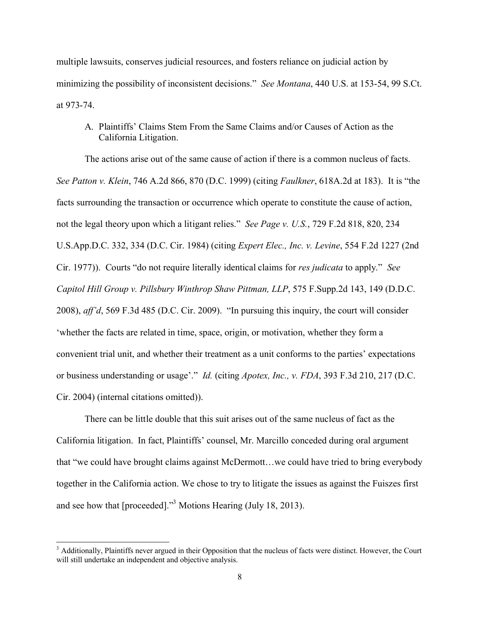multiple lawsuits, conserves judicial resources, and fosters reliance on judicial action by minimizing the possibility of inconsistent decisions." *See Montana*, 440 U.S. at 153-54, 99 S.Ct. at 973-74.

A. Plaintiffs' Claims Stem From the Same Claims and/or Causes of Action as the California Litigation.

The actions arise out of the same cause of action if there is a common nucleus of facts. *See Patton v. Klein*, 746 A.2d 866, 870 (D.C. 1999) (citing *Faulkner*, 618A.2d at 183). It is "the facts surrounding the transaction or occurrence which operate to constitute the cause of action, not the legal theory upon which a litigant relies." *See Page v. U.S.*, 729 F.2d 818, 820, 234 U.S.App.D.C. 332, 334 (D.C. Cir. 1984) (citing *Expert Elec., Inc. v. Levine*, 554 F.2d 1227 (2nd Cir. 1977)). Courts "do not require literally identical claims for *res judicata* to apply." *See Capitol Hill Group v. Pillsbury Winthrop Shaw Pittman, LLP*, 575 F.Supp.2d 143, 149 (D.D.C. 2008), *aff'd*, 569 F.3d 485 (D.C. Cir. 2009). "In pursuing this inquiry, the court will consider 'whether the facts are related in time, space, origin, or motivation, whether they form a convenient trial unit, and whether their treatment as a unit conforms to the parties' expectations or business understanding or usage'." *Id.* (citing *Apotex, Inc., v. FDA*, 393 F.3d 210, 217 (D.C. Cir. 2004) (internal citations omitted)).

There can be little double that this suit arises out of the same nucleus of fact as the California litigation. In fact, Plaintiffs' counsel, Mr. Marcillo conceded during oral argument that "we could have brought claims against McDermott…we could have tried to bring everybody together in the California action. We chose to try to litigate the issues as against the Fuiszes first and see how that [proceeded]."[3](#page-7-0) Motions Hearing (July 18, 2013).

 $\overline{a}$ 

<span id="page-7-0"></span><sup>&</sup>lt;sup>3</sup> Additionally, Plaintiffs never argued in their Opposition that the nucleus of facts were distinct. However, the Court will still undertake an independent and objective analysis.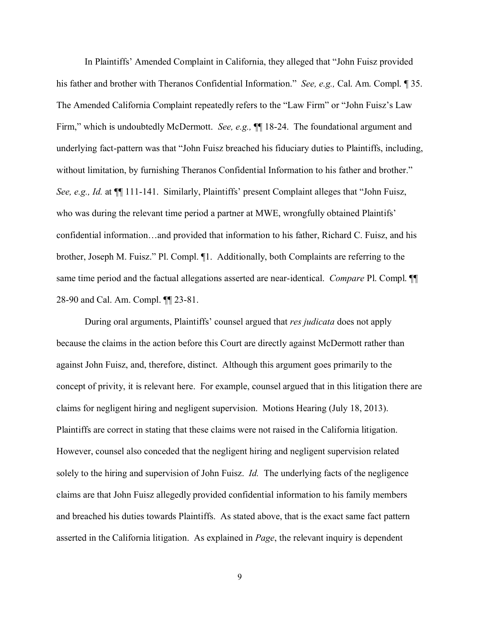In Plaintiffs' Amended Complaint in California, they alleged that "John Fuisz provided his father and brother with Theranos Confidential Information." *See, e.g.,* Cal. Am. Compl. ¶ 35. The Amended California Complaint repeatedly refers to the "Law Firm" or "John Fuisz's Law Firm," which is undoubtedly McDermott. *See, e.g.*,  $\P\P$  18-24. The foundational argument and underlying fact-pattern was that "John Fuisz breached his fiduciary duties to Plaintiffs, including, without limitation, by furnishing Theranos Confidential Information to his father and brother." *See, e.g., Id.* at ¶¶ 111-141. Similarly, Plaintiffs' present Complaint alleges that "John Fuisz, who was during the relevant time period a partner at MWE, wrongfully obtained Plaintifs' confidential information…and provided that information to his father, Richard C. Fuisz, and his brother, Joseph M. Fuisz." Pl. Compl. ¶1. Additionally, both Complaints are referring to the same time period and the factual allegations asserted are near-identical. *Compare* Pl. Compl. ¶¶ 28-90 and Cal. Am. Compl. ¶¶ 23-81.

During oral arguments, Plaintiffs' counsel argued that *res judicata* does not apply because the claims in the action before this Court are directly against McDermott rather than against John Fuisz, and, therefore, distinct. Although this argument goes primarily to the concept of privity, it is relevant here. For example, counsel argued that in this litigation there are claims for negligent hiring and negligent supervision. Motions Hearing (July 18, 2013). Plaintiffs are correct in stating that these claims were not raised in the California litigation. However, counsel also conceded that the negligent hiring and negligent supervision related solely to the hiring and supervision of John Fuisz. *Id.* The underlying facts of the negligence claims are that John Fuisz allegedly provided confidential information to his family members and breached his duties towards Plaintiffs. As stated above, that is the exact same fact pattern asserted in the California litigation. As explained in *Page*, the relevant inquiry is dependent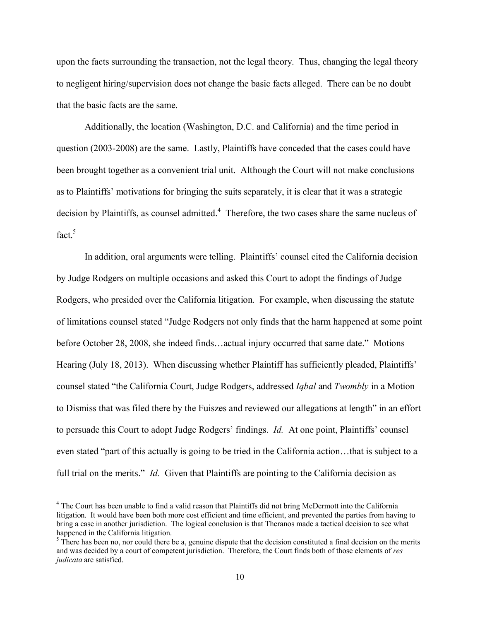upon the facts surrounding the transaction, not the legal theory. Thus, changing the legal theory to negligent hiring/supervision does not change the basic facts alleged. There can be no doubt that the basic facts are the same.

Additionally, the location (Washington, D.C. and California) and the time period in question (2003-2008) are the same. Lastly, Plaintiffs have conceded that the cases could have been brought together as a convenient trial unit. Although the Court will not make conclusions as to Plaintiffs' motivations for bringing the suits separately, it is clear that it was a strategic decision by Plaintiffs, as counsel admitted. $4$  Therefore, the two cases share the same nucleus of fact  $5$ 

In addition, oral arguments were telling. Plaintiffs' counsel cited the California decision by Judge Rodgers on multiple occasions and asked this Court to adopt the findings of Judge Rodgers, who presided over the California litigation. For example, when discussing the statute of limitations counsel stated "Judge Rodgers not only finds that the harm happened at some point before October 28, 2008, she indeed finds…actual injury occurred that same date." Motions Hearing (July 18, 2013). When discussing whether Plaintiff has sufficiently pleaded, Plaintiffs' counsel stated "the California Court, Judge Rodgers, addressed *Iqbal* and *Twombly* in a Motion to Dismiss that was filed there by the Fuiszes and reviewed our allegations at length" in an effort to persuade this Court to adopt Judge Rodgers' findings. *Id.* At one point, Plaintiffs' counsel even stated "part of this actually is going to be tried in the California action…that is subject to a full trial on the merits." *Id.* Given that Plaintiffs are pointing to the California decision as

 $\overline{a}$ 

<span id="page-9-0"></span><sup>&</sup>lt;sup>4</sup> The Court has been unable to find a valid reason that Plaintiffs did not bring McDermott into the California litigation. It would have been both more cost efficient and time efficient, and prevented the parties from having to bring a case in another jurisdiction. The logical conclusion is that Theranos made a tactical decision to see what happened in the California litigation.

<span id="page-9-1"></span> $<sup>5</sup>$  There has been no, nor could there be a, genuine dispute that the decision constituted a final decision on the merits</sup> and was decided by a court of competent jurisdiction. Therefore, the Court finds both of those elements of *res judicata* are satisfied.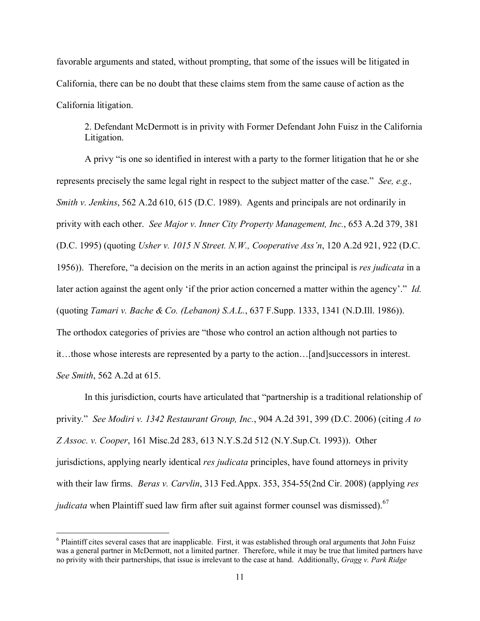favorable arguments and stated, without prompting, that some of the issues will be litigated in California, there can be no doubt that these claims stem from the same cause of action as the California litigation.

2. Defendant McDermott is in privity with Former Defendant John Fuisz in the California Litigation.

A privy "is one so identified in interest with a party to the former litigation that he or she represents precisely the same legal right in respect to the subject matter of the case." *See, e.g., Smith v. Jenkins*, 562 A.2d 610, 615 (D.C. 1989). Agents and principals are not ordinarily in privity with each other. *See Major v. Inner City Property Management, Inc.*, 653 A.2d 379, 381 (D.C. 1995) (quoting *Usher v. 1015 N Street. N.W., Cooperative Ass'n*, 120 A.2d 921, 922 (D.C. 1956)). Therefore, "a decision on the merits in an action against the principal is *res judicata* in a later action against the agent only 'if the prior action concerned a matter within the agency'." *Id.* (quoting *Tamari v. Bache & Co. (Lebanon) S.A.L.*, 637 F.Supp. 1333, 1341 (N.D.Ill. 1986)). The orthodox categories of privies are "those who control an action although not parties to it…those whose interests are represented by a party to the action…[and]successors in interest. *See Smith*, 562 A.2d at 615.

In this jurisdiction, courts have articulated that "partnership is a traditional relationship of privity." *See Modiri v. 1342 Restaurant Group, Inc.*, 904 A.2d 391, 399 (D.C. 2006) (citing *A to Z Assoc. v. Cooper*, 161 Misc.2d 283, 613 N.Y.S.2d 512 (N.Y.Sup.Ct. 1993)). Other jurisdictions, applying nearly identical *res judicata* principles, have found attorneys in privity with their law firms. *Beras v. Carvlin*, 313 Fed.Appx. 353, 354-55(2nd Cir. 2008) (applying *res judicata* when Plaintiff sued law firm after suit against former counsel was dismissed).<sup>[6](#page-10-0)[7](#page-10-1)</sup>

<span id="page-10-1"></span><span id="page-10-0"></span> $6$  Plaintiff cites several cases that are inapplicable. First, it was established through oral arguments that John Fuisz was a general partner in McDermott, not a limited partner. Therefore, while it may be true that limited partners have no privity with their partnerships, that issue is irrelevant to the case at hand. Additionally, *Gragg v. Park Ridge*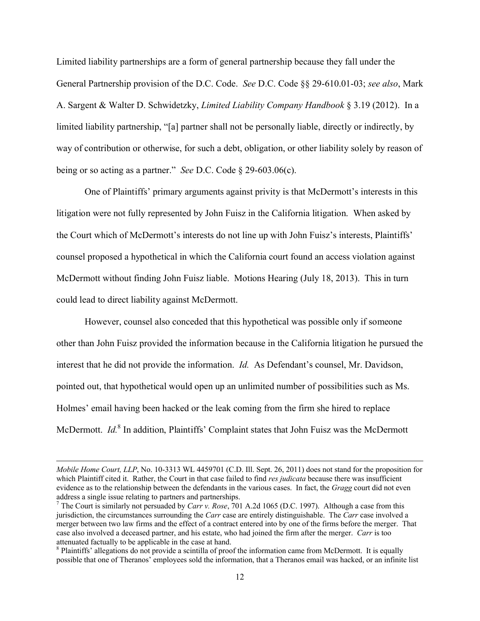Limited liability partnerships are a form of general partnership because they fall under the General Partnership provision of the D.C. Code. *See* D.C. Code §§ 29-610.01-03; *see also*, Mark A. Sargent & Walter D. Schwidetzky, *Limited Liability Company Handbook* § 3.19 (2012). In a limited liability partnership, "[a] partner shall not be personally liable, directly or indirectly, by way of contribution or otherwise, for such a debt, obligation, or other liability solely by reason of being or so acting as a partner." *See* D.C. Code § 29-603.06(c).

One of Plaintiffs' primary arguments against privity is that McDermott's interests in this litigation were not fully represented by John Fuisz in the California litigation. When asked by the Court which of McDermott's interests do not line up with John Fuisz's interests, Plaintiffs' counsel proposed a hypothetical in which the California court found an access violation against McDermott without finding John Fuisz liable. Motions Hearing (July 18, 2013). This in turn could lead to direct liability against McDermott.

However, counsel also conceded that this hypothetical was possible only if someone other than John Fuisz provided the information because in the California litigation he pursued the interest that he did not provide the information. *Id.* As Defendant's counsel, Mr. Davidson, pointed out, that hypothetical would open up an unlimited number of possibilities such as Ms. Holmes' email having been hacked or the leak coming from the firm she hired to replace McDermott. *Id.*<sup>[8](#page-11-0)</sup> In addition, Plaintiffs' Complaint states that John Fuisz was the McDermott

 $\overline{a}$ 

*Mobile Home Court, LLP*, No. 10-3313 WL 4459701 (C.D. Ill. Sept. 26, 2011) does not stand for the proposition for which Plaintiff cited it. Rather, the Court in that case failed to find *res judicata* because there was insufficient evidence as to the relationship between the defendants in the various cases. In fact, the *Gragg* court did not even address a single issue relating to partners and partnerships.

<sup>7</sup> The Court is similarly not persuaded by *Carr v. Rose*, 701 A.2d 1065 (D.C. 1997). Although a case from this jurisdiction, the circumstances surrounding the *Carr* case are entirely distinguishable. The *Carr* case involved a merger between two law firms and the effect of a contract entered into by one of the firms before the merger. That case also involved a deceased partner, and his estate, who had joined the firm after the merger. *Carr* is too attenuated factually to be applicable in the case at hand.

<span id="page-11-0"></span><sup>&</sup>lt;sup>8</sup> Plaintiffs' allegations do not provide a scintilla of proof the information came from McDermott. It is equally possible that one of Theranos' employees sold the information, that a Theranos email was hacked, or an infinite list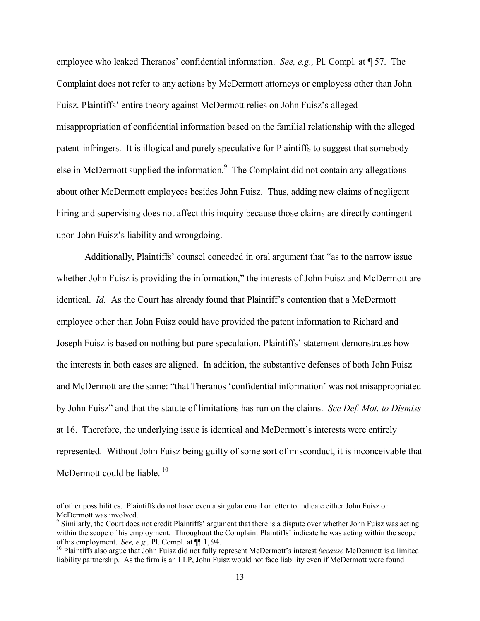employee who leaked Theranos' confidential information. *See, e.g.,* Pl. Compl. at ¶ 57. The Complaint does not refer to any actions by McDermott attorneys or employess other than John Fuisz. Plaintiffs' entire theory against McDermott relies on John Fuisz's alleged misappropriation of confidential information based on the familial relationship with the alleged patent-infringers. It is illogical and purely speculative for Plaintiffs to suggest that somebody else in McDermott supplied the information. $9$  The Complaint did not contain any allegations about other McDermott employees besides John Fuisz. Thus, adding new claims of negligent hiring and supervising does not affect this inquiry because those claims are directly contingent upon John Fuisz's liability and wrongdoing.

Additionally, Plaintiffs' counsel conceded in oral argument that "as to the narrow issue whether John Fuisz is providing the information," the interests of John Fuisz and McDermott are identical. *Id.* As the Court has already found that Plaintiff's contention that a McDermott employee other than John Fuisz could have provided the patent information to Richard and Joseph Fuisz is based on nothing but pure speculation, Plaintiffs' statement demonstrates how the interests in both cases are aligned. In addition, the substantive defenses of both John Fuisz and McDermott are the same: "that Theranos 'confidential information' was not misappropriated by John Fuisz" and that the statute of limitations has run on the claims. *See Def. Mot. to Dismiss* at 16. Therefore, the underlying issue is identical and McDermott's interests were entirely represented. Without John Fuisz being guilty of some sort of misconduct, it is inconceivable that McDermott could be liable.  $10$ 

 $\overline{a}$ 

of other possibilities. Plaintiffs do not have even a singular email or letter to indicate either John Fuisz or McDermott was involved.

<span id="page-12-0"></span><sup>&</sup>lt;sup>9</sup> Similarly, the Court does not credit Plaintiffs' argument that there is a dispute over whether John Fuisz was acting within the scope of his employment. Throughout the Complaint Plaintiffs' indicate he was acting within the scope of his employment. *See, e.g.,* Pl. Compl. at ¶¶ 1, 94.

<span id="page-12-1"></span><sup>&</sup>lt;sup>10</sup> Plaintiffs also argue that John Fuisz did not fully represent McDermott's interest *because* McDermott is a limited liability partnership. As the firm is an LLP, John Fuisz would not face liability even if McDermott were found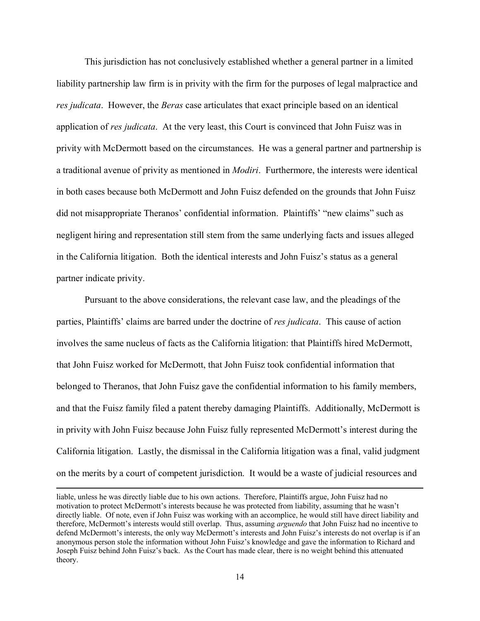This jurisdiction has not conclusively established whether a general partner in a limited liability partnership law firm is in privity with the firm for the purposes of legal malpractice and *res judicata*. However, the *Beras* case articulates that exact principle based on an identical application of *res judicata*. At the very least, this Court is convinced that John Fuisz was in privity with McDermott based on the circumstances. He was a general partner and partnership is a traditional avenue of privity as mentioned in *Modiri*. Furthermore, the interests were identical in both cases because both McDermott and John Fuisz defended on the grounds that John Fuisz did not misappropriate Theranos' confidential information. Plaintiffs' "new claims" such as negligent hiring and representation still stem from the same underlying facts and issues alleged in the California litigation. Both the identical interests and John Fuisz's status as a general partner indicate privity.

Pursuant to the above considerations, the relevant case law, and the pleadings of the parties, Plaintiffs' claims are barred under the doctrine of *res judicata*. This cause of action involves the same nucleus of facts as the California litigation: that Plaintiffs hired McDermott, that John Fuisz worked for McDermott, that John Fuisz took confidential information that belonged to Theranos, that John Fuisz gave the confidential information to his family members, and that the Fuisz family filed a patent thereby damaging Plaintiffs. Additionally, McDermott is in privity with John Fuisz because John Fuisz fully represented McDermott's interest during the California litigation. Lastly, the dismissal in the California litigation was a final, valid judgment on the merits by a court of competent jurisdiction. It would be a waste of judicial resources and

liable, unless he was directly liable due to his own actions. Therefore, Plaintiffs argue, John Fuisz had no motivation to protect McDermott's interests because he was protected from liability, assuming that he wasn't directly liable. Of note, even if John Fuisz was working with an accomplice, he would still have direct liability and therefore, McDermott's interests would still overlap. Thus, assuming *arguendo* that John Fuisz had no incentive to defend McDermott's interests, the only way McDermott's interests and John Fuisz's interests do not overlap is if an anonymous person stole the information without John Fuisz's knowledge and gave the information to Richard and Joseph Fuisz behind John Fuisz's back. As the Court has made clear, there is no weight behind this attenuated theory.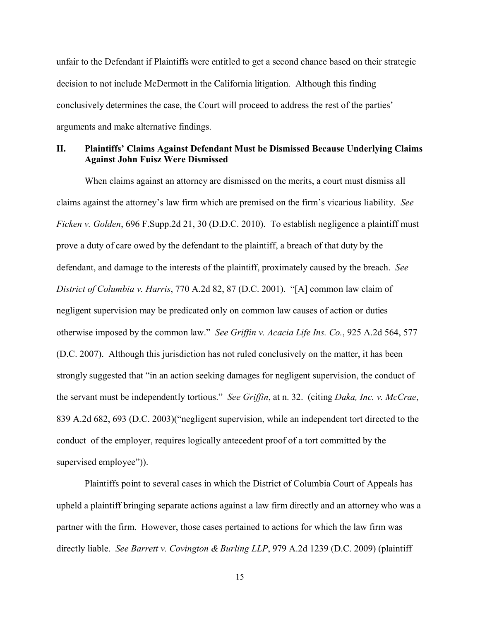unfair to the Defendant if Plaintiffs were entitled to get a second chance based on their strategic decision to not include McDermott in the California litigation. Although this finding conclusively determines the case, the Court will proceed to address the rest of the parties' arguments and make alternative findings.

## **II. Plaintiffs' Claims Against Defendant Must be Dismissed Because Underlying Claims Against John Fuisz Were Dismissed**

When claims against an attorney are dismissed on the merits, a court must dismiss all claims against the attorney's law firm which are premised on the firm's vicarious liability. *See Ficken v. Golden*, 696 F.Supp.2d 21, 30 (D.D.C. 2010). To establish negligence a plaintiff must prove a duty of care owed by the defendant to the plaintiff, a breach of that duty by the defendant, and damage to the interests of the plaintiff, proximately caused by the breach. *See District of Columbia v. Harris*, 770 A.2d 82, 87 (D.C. 2001). "[A] common law claim of negligent supervision may be predicated only on common law causes of action or duties otherwise imposed by the common law." *See Griffin v. Acacia Life Ins. Co.*, 925 A.2d 564, 577 (D.C. 2007). Although this jurisdiction has not ruled conclusively on the matter, it has been strongly suggested that "in an action seeking damages for negligent supervision, the conduct of the servant must be independently tortious." *See Griffin*, at n. 32. (citing *Daka, Inc. v. McCrae*, 839 A.2d 682, 693 (D.C. 2003)("negligent supervision, while an independent tort directed to the conduct of the employer, requires logically antecedent proof of a tort committed by the supervised employee")).

Plaintiffs point to several cases in which the District of Columbia Court of Appeals has upheld a plaintiff bringing separate actions against a law firm directly and an attorney who was a partner with the firm. However, those cases pertained to actions for which the law firm was directly liable. *See Barrett v. Covington & Burling LLP*, 979 A.2d 1239 (D.C. 2009) (plaintiff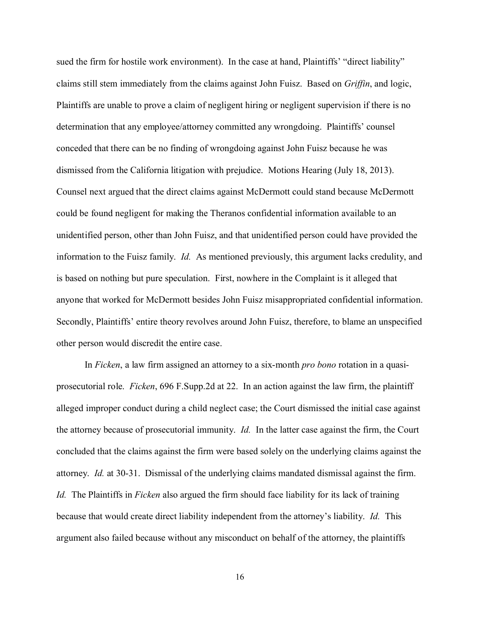sued the firm for hostile work environment). In the case at hand, Plaintiffs' "direct liability" claims still stem immediately from the claims against John Fuisz. Based on *Griffin*, and logic, Plaintiffs are unable to prove a claim of negligent hiring or negligent supervision if there is no determination that any employee/attorney committed any wrongdoing. Plaintiffs' counsel conceded that there can be no finding of wrongdoing against John Fuisz because he was dismissed from the California litigation with prejudice. Motions Hearing (July 18, 2013). Counsel next argued that the direct claims against McDermott could stand because McDermott could be found negligent for making the Theranos confidential information available to an unidentified person, other than John Fuisz, and that unidentified person could have provided the information to the Fuisz family. *Id.* As mentioned previously, this argument lacks credulity, and is based on nothing but pure speculation. First, nowhere in the Complaint is it alleged that anyone that worked for McDermott besides John Fuisz misappropriated confidential information. Secondly, Plaintiffs' entire theory revolves around John Fuisz, therefore, to blame an unspecified other person would discredit the entire case.

In *Ficken*, a law firm assigned an attorney to a six-month *pro bono* rotation in a quasiprosecutorial role. *Ficken*, 696 F.Supp.2d at 22. In an action against the law firm, the plaintiff alleged improper conduct during a child neglect case; the Court dismissed the initial case against the attorney because of prosecutorial immunity. *Id.* In the latter case against the firm, the Court concluded that the claims against the firm were based solely on the underlying claims against the attorney. *Id.* at 30-31. Dismissal of the underlying claims mandated dismissal against the firm. *Id.* The Plaintiffs in *Ficken* also argued the firm should face liability for its lack of training because that would create direct liability independent from the attorney's liability. *Id.* This argument also failed because without any misconduct on behalf of the attorney, the plaintiffs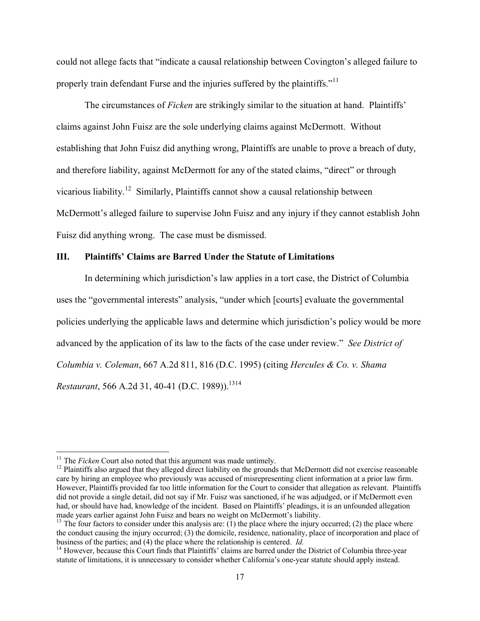could not allege facts that "indicate a causal relationship between Covington's alleged failure to properly train defendant Furse and the injuries suffered by the plaintiffs."<sup>[11](#page-16-0)</sup>

The circumstances of *Ficken* are strikingly similar to the situation at hand. Plaintiffs' claims against John Fuisz are the sole underlying claims against McDermott. Without establishing that John Fuisz did anything wrong, Plaintiffs are unable to prove a breach of duty, and therefore liability, against McDermott for any of the stated claims, "direct" or through vicarious liability.<sup>[12](#page-16-1)</sup> Similarly, Plaintiffs cannot show a causal relationship between McDermott's alleged failure to supervise John Fuisz and any injury if they cannot establish John Fuisz did anything wrong. The case must be dismissed.

### **III. Plaintiffs' Claims are Barred Under the Statute of Limitations**

In determining which jurisdiction's law applies in a tort case, the District of Columbia uses the "governmental interests" analysis, "under which [courts] evaluate the governmental policies underlying the applicable laws and determine which jurisdiction's policy would be more advanced by the application of its law to the facts of the case under review." *See District of Columbia v. Coleman*, 667 A.2d 811, 816 (D.C. 1995) (citing *Hercules & Co. v. Shama Restaurant*, 566 A.2d 31, 40-41 (D.C. 1989)).<sup>[13](#page-16-2)[14](#page-16-3)</sup>

<span id="page-16-0"></span><sup>&</sup>lt;sup>11</sup> The *Ficken* Court also noted that this argument was made untimely.

<span id="page-16-1"></span> $<sup>12</sup>$  Plaintiffs also argued that they alleged direct liability on the grounds that McDermott did not exercise reasonable</sup> care by hiring an employee who previously was accused of misrepresenting client information at a prior law firm. However, Plaintiffs provided far too little information for the Court to consider that allegation as relevant. Plaintiffs did not provide a single detail, did not say if Mr. Fuisz was sanctioned, if he was adjudged, or if McDermott even had, or should have had, knowledge of the incident. Based on Plaintiffs' pleadings, it is an unfounded allegation made years earlier against John Fuisz and bears no weight on McDermott's liability.

<span id="page-16-2"></span><sup>&</sup>lt;sup>13</sup> The four factors to consider under this analysis are: (1) the place where the injury occurred; (2) the place where the conduct causing the injury occurred; (3) the domicile, residence, nationality, place of incorporation and place of business of the parties; and (4) the place where the relationship is centered. *Id.*

<span id="page-16-3"></span><sup>&</sup>lt;sup>14</sup> However, because this Court finds that Plaintiffs' claims are barred under the District of Columbia three-year statute of limitations, it is unnecessary to consider whether California's one-year statute should apply instead.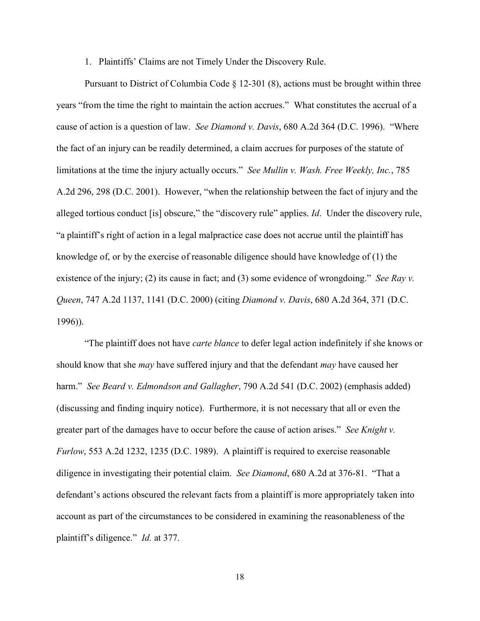1. Plaintiffs' Claims are not Timely Under the Discovery Rule.

Pursuant to District of Columbia Code § 12-301 (8), actions must be brought within three years "from the time the right to maintain the action accrues." What constitutes the accrual of a cause of action is a question of law. *See Diamond v. Davis*, 680 A.2d 364 (D.C. 1996). "Where the fact of an injury can be readily determined, a claim accrues for purposes of the statute of limitations at the time the injury actually occurs." *See Mullin v. Wash. Free Weekly, Inc.*, 785 A.2d 296, 298 (D.C. 2001). However, "when the relationship between the fact of injury and the alleged tortious conduct [is] obscure," the "discovery rule" applies. *Id*. Under the discovery rule, "a plaintiff's right of action in a legal malpractice case does not accrue until the plaintiff has knowledge of, or by the exercise of reasonable diligence should have knowledge of (1) the existence of the injury; (2) its cause in fact; and (3) some evidence of wrongdoing." *See Ray v. Queen*, 747 A.2d 1137, 1141 (D.C. 2000) (citing *Diamond v. Davis*, 680 A.2d 364, 371 (D.C. 1996)).

"The plaintiff does not have *carte blance* to defer legal action indefinitely if she knows or should know that she *may* have suffered injury and that the defendant *may* have caused her harm." *See Beard v. Edmondson and Gallagher*, 790 A.2d 541 (D.C. 2002) (emphasis added) (discussing and finding inquiry notice). Furthermore, it is not necessary that all or even the greater part of the damages have to occur before the cause of action arises." *See Knight v. Furlow*, 553 A.2d 1232, 1235 (D.C. 1989). A plaintiff is required to exercise reasonable diligence in investigating their potential claim. *See Diamond*, 680 A.2d at 376-81. "That a defendant's actions obscured the relevant facts from a plaintiff is more appropriately taken into account as part of the circumstances to be considered in examining the reasonableness of the plaintiff's diligence." *Id.* at 377.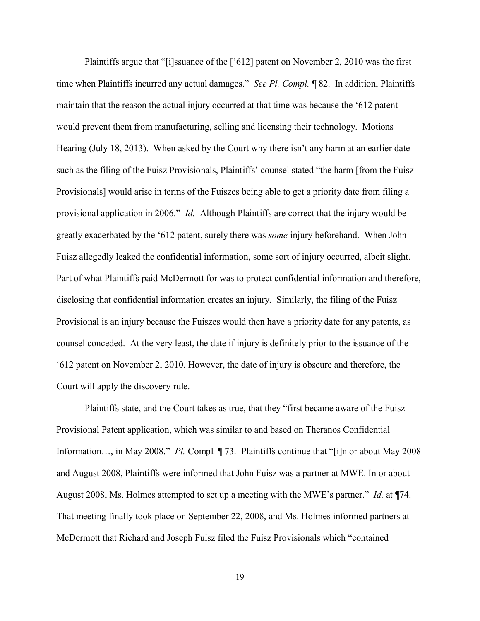Plaintiffs argue that "[i]ssuance of the ['612] patent on November 2, 2010 was the first time when Plaintiffs incurred any actual damages." *See Pl. Compl.* ¶ 82. In addition, Plaintiffs maintain that the reason the actual injury occurred at that time was because the '612 patent would prevent them from manufacturing, selling and licensing their technology. Motions Hearing (July 18, 2013). When asked by the Court why there isn't any harm at an earlier date such as the filing of the Fuisz Provisionals, Plaintiffs' counsel stated "the harm [from the Fuisz Provisionals] would arise in terms of the Fuiszes being able to get a priority date from filing a provisional application in 2006." *Id.* Although Plaintiffs are correct that the injury would be greatly exacerbated by the '612 patent, surely there was *some* injury beforehand. When John Fuisz allegedly leaked the confidential information, some sort of injury occurred, albeit slight. Part of what Plaintiffs paid McDermott for was to protect confidential information and therefore, disclosing that confidential information creates an injury. Similarly, the filing of the Fuisz Provisional is an injury because the Fuiszes would then have a priority date for any patents, as counsel conceded. At the very least, the date if injury is definitely prior to the issuance of the '612 patent on November 2, 2010. However, the date of injury is obscure and therefore, the Court will apply the discovery rule.

Plaintiffs state, and the Court takes as true, that they "first became aware of the Fuisz Provisional Patent application, which was similar to and based on Theranos Confidential Information…, in May 2008." *Pl.* Compl*.* ¶ 73. Plaintiffs continue that "[i]n or about May 2008 and August 2008, Plaintiffs were informed that John Fuisz was a partner at MWE. In or about August 2008, Ms. Holmes attempted to set up a meeting with the MWE's partner." *Id.* at ¶74. That meeting finally took place on September 22, 2008, and Ms. Holmes informed partners at McDermott that Richard and Joseph Fuisz filed the Fuisz Provisionals which "contained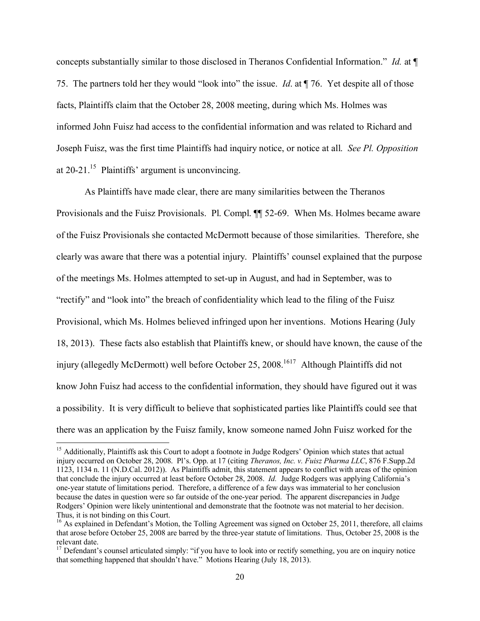concepts substantially similar to those disclosed in Theranos Confidential Information." *Id.* at ¶ 75. The partners told her they would "look into" the issue. *Id*. at ¶ 76. Yet despite all of those facts, Plaintiffs claim that the October 28, 2008 meeting, during which Ms. Holmes was informed John Fuisz had access to the confidential information and was related to Richard and Joseph Fuisz, was the first time Plaintiffs had inquiry notice, or notice at all. *See Pl. Opposition* at  $20-21$ .<sup>[15](#page-19-0)</sup> Plaintiffs' argument is unconvincing.

As Plaintiffs have made clear, there are many similarities between the Theranos Provisionals and the Fuisz Provisionals. Pl. Compl. ¶¶ 52-69. When Ms. Holmes became aware of the Fuisz Provisionals she contacted McDermott because of those similarities. Therefore, she clearly was aware that there was a potential injury. Plaintiffs' counsel explained that the purpose of the meetings Ms. Holmes attempted to set-up in August, and had in September, was to "rectify" and "look into" the breach of confidentiality which lead to the filing of the Fuisz Provisional, which Ms. Holmes believed infringed upon her inventions. Motions Hearing (July 18, 2013). These facts also establish that Plaintiffs knew, or should have known, the cause of the injury (allegedly McDermott) well before October 25, 2008.<sup>[16](#page-19-1)[17](#page-19-2)</sup> Although Plaintiffs did not know John Fuisz had access to the confidential information, they should have figured out it was a possibility. It is very difficult to believe that sophisticated parties like Plaintiffs could see that there was an application by the Fuisz family, know someone named John Fuisz worked for the

 $\overline{\phantom{a}}$ 

<span id="page-19-0"></span><sup>&</sup>lt;sup>15</sup> Additionally, Plaintiffs ask this Court to adopt a footnote in Judge Rodgers' Opinion which states that actual injury occurred on October 28, 2008. Pl's. Opp. at 17 (citing *Theranos, Inc. v. Fuisz Pharma LLC*, 876 F.Supp.2d 1123, 1134 n. 11 (N.D.Cal. 2012)). As Plaintiffs admit, this statement appears to conflict with areas of the opinion that conclude the injury occurred at least before October 28, 2008. *Id.* Judge Rodgers was applying California's one-year statute of limitations period. Therefore, a difference of a few days was immaterial to her conclusion because the dates in question were so far outside of the one-year period. The apparent discrepancies in Judge Rodgers' Opinion were likely unintentional and demonstrate that the footnote was not material to her decision. Thus, it is not binding on this Court.

<span id="page-19-1"></span><sup>&</sup>lt;sup>16</sup> As explained in Defendant's Motion, the Tolling Agreement was signed on October 25, 2011, therefore, all claims that arose before October 25, 2008 are barred by the three-year statute of limitations. Thus, October 25, 2008 is the relevant date.

<span id="page-19-2"></span><sup>&</sup>lt;sup>17</sup> Defendant's counsel articulated simply: "if you have to look into or rectify something, you are on inquiry notice that something happened that shouldn't have." Motions Hearing (July 18, 2013).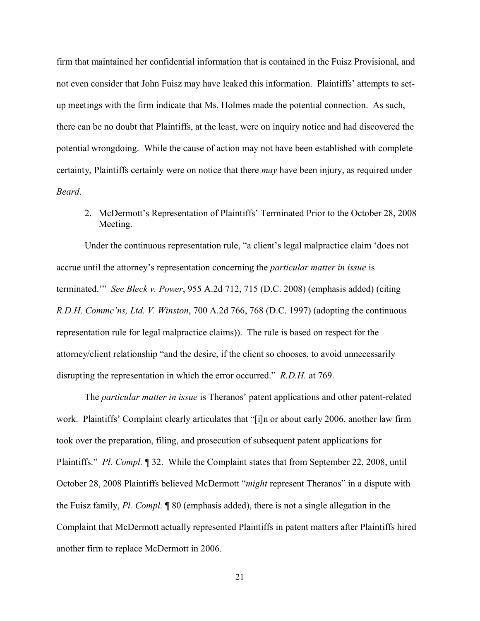firm that maintained her confidential information that is contained in the Fuisz Provisional, and not even consider that John Fuisz may have leaked this information. Plaintiffs' attempts to setup meetings with the firm indicate that Ms. Holmes made the potential connection. As such, there can be no doubt that Plaintiffs, at the least, were on inquiry notice and had discovered the potential wrongdoing. While the cause of action may not have been established with complete certainty, Plaintiffs certainly were on notice that there *may* have been injury, as required under *Beard*.

2. McDermott's Representation of Plaintiffs' Terminated Prior to the October 28, 2008 Meeting.

Under the continuous representation rule, "a client's legal malpractice claim 'does not accrue until the attorney's representation concerning the *particular matter in issue* is terminated.'" *See Bleck v. Power*, 955 A.2d 712, 715 (D.C. 2008) (emphasis added) (citing *R.D.H. Commc'ns, Ltd. V. Winston*, 700 A.2d 766, 768 (D.C. 1997) (adopting the continuous representation rule for legal malpractice claims)). The rule is based on respect for the attorney/client relationship "and the desire, if the client so chooses, to avoid unnecessarily disrupting the representation in which the error occurred." *R.D.H.* at 769.

The *particular matter in issue* is Theranos' patent applications and other patent-related work. Plaintiffs' Complaint clearly articulates that "[i]n or about early 2006, another law firm took over the preparation, filing, and prosecution of subsequent patent applications for Plaintiffs." *Pl. Compl.* ¶ 32. While the Complaint states that from September 22, 2008, until October 28, 2008 Plaintiffs believed McDermott "*might* represent Theranos" in a dispute with the Fuisz family, *Pl. Compl.* ¶ 80 (emphasis added), there is not a single allegation in the Complaint that McDermott actually represented Plaintiffs in patent matters after Plaintiffs hired another firm to replace McDermott in 2006.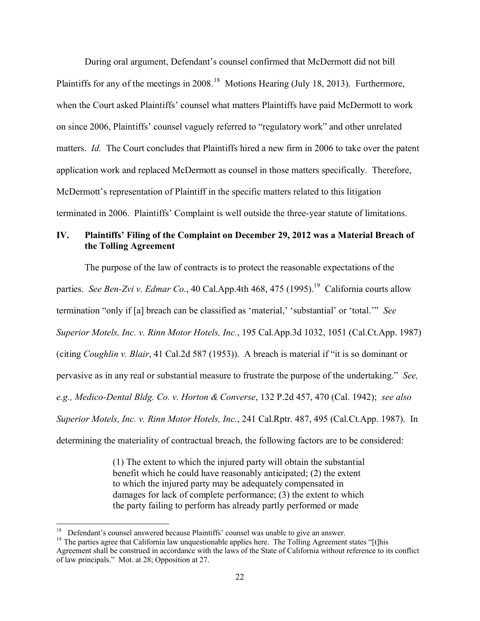During oral argument, Defendant's counsel confirmed that McDermott did not bill Plaintiffs for any of the meetings in 2008.<sup>[18](#page-21-0)</sup> Motions Hearing (July 18, 2013). Furthermore, when the Court asked Plaintiffs' counsel what matters Plaintiffs have paid McDermott to work on since 2006, Plaintiffs' counsel vaguely referred to "regulatory work" and other unrelated matters. *Id.* The Court concludes that Plaintiffs hired a new firm in 2006 to take over the patent application work and replaced McDermott as counsel in those matters specifically. Therefore, McDermott's representation of Plaintiff in the specific matters related to this litigation terminated in 2006. Plaintiffs' Complaint is well outside the three-year statute of limitations.

# **IV. Plaintiffs' Filing of the Complaint on December 29, 2012 was a Material Breach of the Tolling Agreement**

The purpose of the law of contracts is to protect the reasonable expectations of the parties. *See Ben-Zvi v. Edmar Co.*, 40 Cal.App.4th 468, 475 ([19](#page-21-1)95).<sup>19</sup> California courts allow termination "only if [a] breach can be classified as 'material,' 'substantial' or 'total.'" *See Superior Motels, Inc. v. Rinn Motor Hotels, Inc.*, 195 Cal.App.3d 1032, 1051 (Cal.Ct.App. 1987) (citing *Coughlin v. Blair*, 41 Cal.2d 587 (1953)). A breach is material if "it is so dominant or pervasive as in any real or substantial measure to frustrate the purpose of the undertaking." *See, e.g., Medico-Dental Bldg. Co. v. Horton & Converse*, 132 P.2d 457, 470 (Cal. 1942); *see also Superior Motels, Inc. v. Rinn Motor Hotels, Inc.*, 241 Cal.Rptr. 487, 495 (Cal.Ct.App. 1987). In determining the materiality of contractual breach, the following factors are to be considered:

> (1) The extent to which the injured party will obtain the substantial benefit which he could have reasonably anticipated; (2) the extent to which the injured party may be adequately compensated in damages for lack of complete performance; (3) the extent to which the party failing to perform has already partly performed or made

<span id="page-21-0"></span> 18 Defendant's counsel answered because Plaintiffs' counsel was unable to give an answer.

<span id="page-21-1"></span><sup>&</sup>lt;sup>19</sup> The parties agree that California law unquestionable applies here. The Tolling Agreement states "[t]his Agreement shall be construed in accordance with the laws of the State of California without reference to its conflict of law principals." Mot. at 28; Opposition at 27.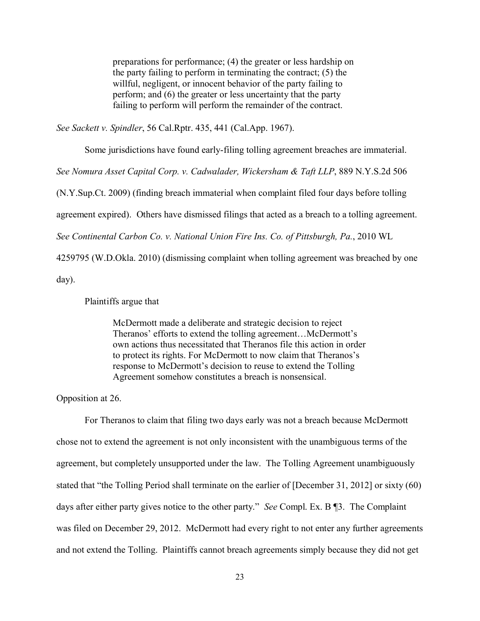preparations for performance; (4) the greater or less hardship on the party failing to perform in terminating the contract; (5) the willful, negligent, or innocent behavior of the party failing to perform; and (6) the greater or less uncertainty that the party failing to perform will perform the remainder of the contract.

*See Sackett v. Spindler*, 56 Cal.Rptr. 435, 441 (Cal.App. 1967).

Some jurisdictions have found early-filing tolling agreement breaches are immaterial.

*See Nomura Asset Capital Corp. v. Cadwalader, Wickersham & Taft LLP*, 889 N.Y.S.2d 506

(N.Y.Sup.Ct. 2009) (finding breach immaterial when complaint filed four days before tolling

agreement expired). Others have dismissed filings that acted as a breach to a tolling agreement.

*See Continental Carbon Co. v. National Union Fire Ins. Co. of Pittsburgh, Pa.*, 2010 WL

4259795 (W.D.Okla. 2010) (dismissing complaint when tolling agreement was breached by one

day).

Plaintiffs argue that

McDermott made a deliberate and strategic decision to reject Theranos' efforts to extend the tolling agreement…McDermott's own actions thus necessitated that Theranos file this action in order to protect its rights. For McDermott to now claim that Theranos's response to McDermott's decision to reuse to extend the Tolling Agreement somehow constitutes a breach is nonsensical.

Opposition at 26.

For Theranos to claim that filing two days early was not a breach because McDermott chose not to extend the agreement is not only inconsistent with the unambiguous terms of the agreement, but completely unsupported under the law. The Tolling Agreement unambiguously stated that "the Tolling Period shall terminate on the earlier of [December 31, 2012] or sixty (60) days after either party gives notice to the other party." *See* Compl. Ex. B ¶3. The Complaint was filed on December 29, 2012. McDermott had every right to not enter any further agreements and not extend the Tolling. Plaintiffs cannot breach agreements simply because they did not get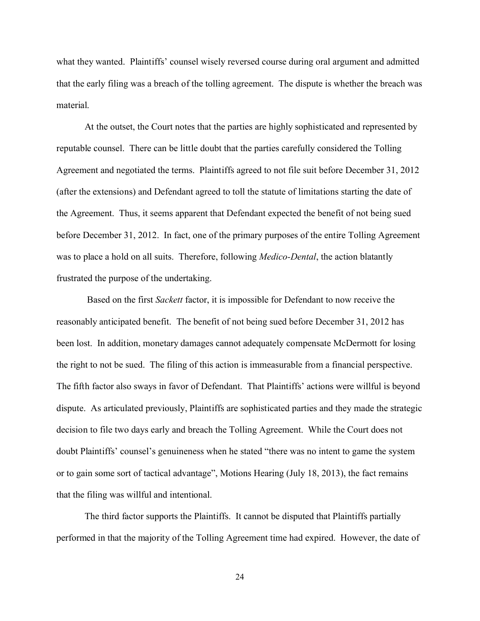what they wanted. Plaintiffs' counsel wisely reversed course during oral argument and admitted that the early filing was a breach of the tolling agreement. The dispute is whether the breach was material.

At the outset, the Court notes that the parties are highly sophisticated and represented by reputable counsel. There can be little doubt that the parties carefully considered the Tolling Agreement and negotiated the terms. Plaintiffs agreed to not file suit before December 31, 2012 (after the extensions) and Defendant agreed to toll the statute of limitations starting the date of the Agreement. Thus, it seems apparent that Defendant expected the benefit of not being sued before December 31, 2012. In fact, one of the primary purposes of the entire Tolling Agreement was to place a hold on all suits. Therefore, following *Medico-Dental*, the action blatantly frustrated the purpose of the undertaking.

Based on the first *Sackett* factor, it is impossible for Defendant to now receive the reasonably anticipated benefit. The benefit of not being sued before December 31, 2012 has been lost. In addition, monetary damages cannot adequately compensate McDermott for losing the right to not be sued. The filing of this action is immeasurable from a financial perspective. The fifth factor also sways in favor of Defendant. That Plaintiffs' actions were willful is beyond dispute. As articulated previously, Plaintiffs are sophisticated parties and they made the strategic decision to file two days early and breach the Tolling Agreement. While the Court does not doubt Plaintiffs' counsel's genuineness when he stated "there was no intent to game the system or to gain some sort of tactical advantage", Motions Hearing (July 18, 2013), the fact remains that the filing was willful and intentional.

The third factor supports the Plaintiffs. It cannot be disputed that Plaintiffs partially performed in that the majority of the Tolling Agreement time had expired. However, the date of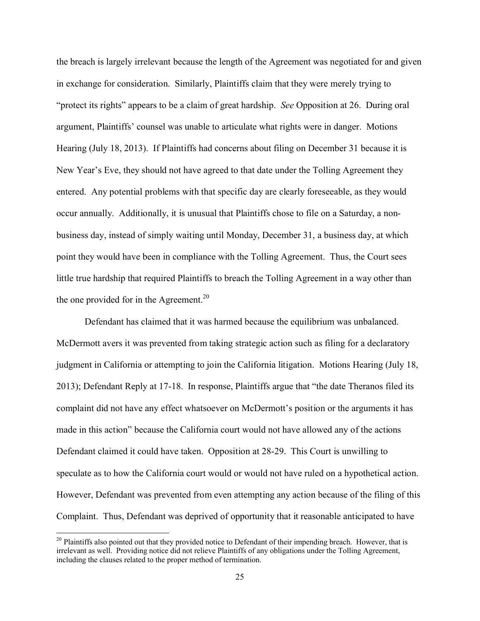the breach is largely irrelevant because the length of the Agreement was negotiated for and given in exchange for consideration. Similarly, Plaintiffs claim that they were merely trying to "protect its rights" appears to be a claim of great hardship. *See* Opposition at 26. During oral argument, Plaintiffs' counsel was unable to articulate what rights were in danger. Motions Hearing (July 18, 2013). If Plaintiffs had concerns about filing on December 31 because it is New Year's Eve, they should not have agreed to that date under the Tolling Agreement they entered. Any potential problems with that specific day are clearly foreseeable, as they would occur annually. Additionally, it is unusual that Plaintiffs chose to file on a Saturday, a nonbusiness day, instead of simply waiting until Monday, December 31, a business day, at which point they would have been in compliance with the Tolling Agreement. Thus, the Court sees little true hardship that required Plaintiffs to breach the Tolling Agreement in a way other than the one provided for in the Agreement.<sup>[20](#page-24-0)</sup>

Defendant has claimed that it was harmed because the equilibrium was unbalanced. McDermott avers it was prevented from taking strategic action such as filing for a declaratory judgment in California or attempting to join the California litigation. Motions Hearing (July 18, 2013); Defendant Reply at 17-18. In response, Plaintiffs argue that "the date Theranos filed its complaint did not have any effect whatsoever on McDermott's position or the arguments it has made in this action" because the California court would not have allowed any of the actions Defendant claimed it could have taken. Opposition at 28-29. This Court is unwilling to speculate as to how the California court would or would not have ruled on a hypothetical action. However, Defendant was prevented from even attempting any action because of the filing of this Complaint. Thus, Defendant was deprived of opportunity that it reasonable anticipated to have

<span id="page-24-0"></span> $20$  Plaintiffs also pointed out that they provided notice to Defendant of their impending breach. However, that is irrelevant as well. Providing notice did not relieve Plaintiffs of any obligations under the Tolling Agreement, including the clauses related to the proper method of termination.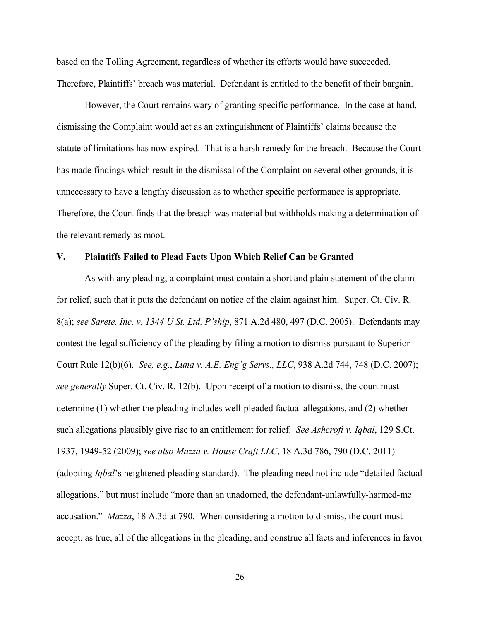based on the Tolling Agreement, regardless of whether its efforts would have succeeded. Therefore, Plaintiffs' breach was material. Defendant is entitled to the benefit of their bargain.

However, the Court remains wary of granting specific performance. In the case at hand, dismissing the Complaint would act as an extinguishment of Plaintiffs' claims because the statute of limitations has now expired. That is a harsh remedy for the breach. Because the Court has made findings which result in the dismissal of the Complaint on several other grounds, it is unnecessary to have a lengthy discussion as to whether specific performance is appropriate. Therefore, the Court finds that the breach was material but withholds making a determination of the relevant remedy as moot.

#### **V. Plaintiffs Failed to Plead Facts Upon Which Relief Can be Granted**

As with any pleading, a complaint must contain a short and plain statement of the claim for relief, such that it puts the defendant on notice of the claim against him. Super. Ct. Civ. R. 8(a); *see Sarete, Inc. v. 1344 U St. Ltd. P'ship*, 871 A.2d 480, 497 (D.C. 2005). Defendants may contest the legal sufficiency of the pleading by filing a motion to dismiss pursuant to Superior Court Rule 12(b)(6). *See, e.g.*, *Luna v. A.E. Eng'g Servs., LLC*, 938 A.2d 744, 748 (D.C. 2007); *see generally* Super. Ct. Civ. R. 12(b). Upon receipt of a motion to dismiss, the court must determine (1) whether the pleading includes well-pleaded factual allegations, and (2) whether such allegations plausibly give rise to an entitlement for relief. *See Ashcroft v. Iqbal*, 129 S.Ct. 1937, 1949-52 (2009); *see also Mazza v. House Craft LLC*, 18 A.3d 786, 790 (D.C. 2011) (adopting *Iqbal*'s heightened pleading standard). The pleading need not include "detailed factual allegations," but must include "more than an unadorned, the defendant-unlawfully-harmed-me accusation." *Mazza*, 18 A.3d at 790. When considering a motion to dismiss, the court must accept, as true, all of the allegations in the pleading, and construe all facts and inferences in favor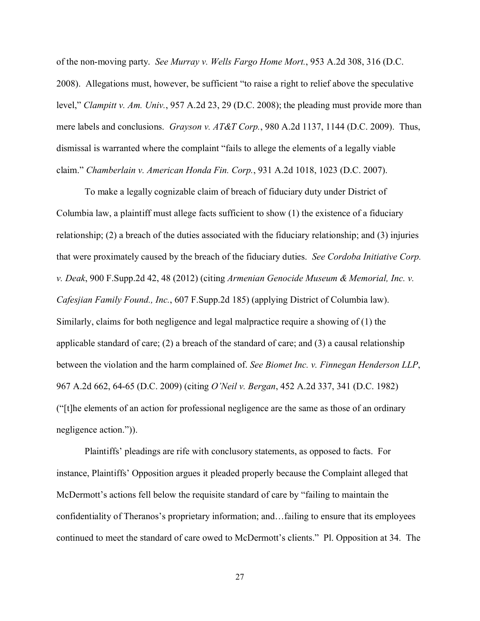of the non-moving party. *See Murray v. Wells Fargo Home Mort.*, 953 A.2d 308, 316 (D.C. 2008). Allegations must, however, be sufficient "to raise a right to relief above the speculative level," *Clampitt v. Am. Univ.*, 957 A.2d 23, 29 (D.C. 2008); the pleading must provide more than mere labels and conclusions. *Grayson v. AT&T Corp.*, 980 A.2d 1137, 1144 (D.C. 2009). Thus, dismissal is warranted where the complaint "fails to allege the elements of a legally viable claim." *Chamberlain v. American Honda Fin. Corp.*, 931 A.2d 1018, 1023 (D.C. 2007).

To make a legally cognizable claim of breach of fiduciary duty under District of Columbia law, a plaintiff must allege facts sufficient to show (1) the existence of a fiduciary relationship; (2) a breach of the duties associated with the fiduciary relationship; and (3) injuries that were proximately caused by the breach of the fiduciary duties. *See Cordoba Initiative Corp. v. Deak*, 900 F.Supp.2d 42, 48 (2012) (citing *Armenian Genocide Museum & Memorial, Inc. v. Cafesjian Family Found., Inc.*, 607 F.Supp.2d 185) (applying District of Columbia law). Similarly, claims for both negligence and legal malpractice require a showing of (1) the applicable standard of care; (2) a breach of the standard of care; and (3) a causal relationship between the violation and the harm complained of. *See Biomet Inc. v. Finnegan Henderson LLP*, 967 A.2d 662, 64-65 (D.C. 2009) (citing *O'Neil v. Bergan*, 452 A.2d 337, 341 (D.C. 1982) ("[t]he elements of an action for professional negligence are the same as those of an ordinary negligence action.")).

Plaintiffs' pleadings are rife with conclusory statements, as opposed to facts. For instance, Plaintiffs' Opposition argues it pleaded properly because the Complaint alleged that McDermott's actions fell below the requisite standard of care by "failing to maintain the confidentiality of Theranos's proprietary information; and…failing to ensure that its employees continued to meet the standard of care owed to McDermott's clients." Pl. Opposition at 34. The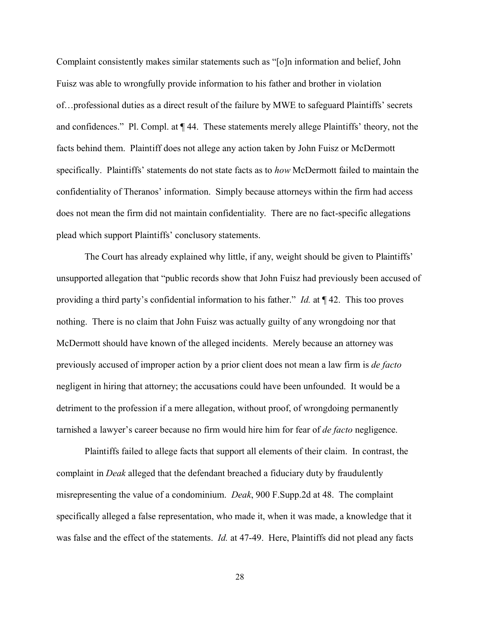Complaint consistently makes similar statements such as "[o]n information and belief, John Fuisz was able to wrongfully provide information to his father and brother in violation of…professional duties as a direct result of the failure by MWE to safeguard Plaintiffs' secrets and confidences." Pl. Compl. at ¶ 44. These statements merely allege Plaintiffs' theory, not the facts behind them. Plaintiff does not allege any action taken by John Fuisz or McDermott specifically. Plaintiffs' statements do not state facts as to *how* McDermott failed to maintain the confidentiality of Theranos' information. Simply because attorneys within the firm had access does not mean the firm did not maintain confidentiality. There are no fact-specific allegations plead which support Plaintiffs' conclusory statements.

The Court has already explained why little, if any, weight should be given to Plaintiffs' unsupported allegation that "public records show that John Fuisz had previously been accused of providing a third party's confidential information to his father." *Id.* at ¶ 42. This too proves nothing. There is no claim that John Fuisz was actually guilty of any wrongdoing nor that McDermott should have known of the alleged incidents. Merely because an attorney was previously accused of improper action by a prior client does not mean a law firm is *de facto* negligent in hiring that attorney; the accusations could have been unfounded. It would be a detriment to the profession if a mere allegation, without proof, of wrongdoing permanently tarnished a lawyer's career because no firm would hire him for fear of *de facto* negligence.

Plaintiffs failed to allege facts that support all elements of their claim. In contrast, the complaint in *Deak* alleged that the defendant breached a fiduciary duty by fraudulently misrepresenting the value of a condominium. *Deak*, 900 F.Supp.2d at 48. The complaint specifically alleged a false representation, who made it, when it was made, a knowledge that it was false and the effect of the statements. *Id.* at 47-49. Here, Plaintiffs did not plead any facts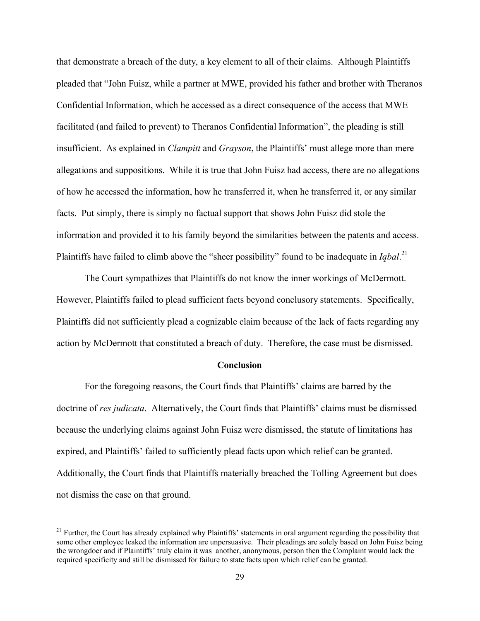that demonstrate a breach of the duty, a key element to all of their claims. Although Plaintiffs pleaded that "John Fuisz, while a partner at MWE, provided his father and brother with Theranos Confidential Information, which he accessed as a direct consequence of the access that MWE facilitated (and failed to prevent) to Theranos Confidential Information", the pleading is still insufficient. As explained in *Clampitt* and *Grayson*, the Plaintiffs' must allege more than mere allegations and suppositions. While it is true that John Fuisz had access, there are no allegations of how he accessed the information, how he transferred it, when he transferred it, or any similar facts. Put simply, there is simply no factual support that shows John Fuisz did stole the information and provided it to his family beyond the similarities between the patents and access. Plaintiffs have failed to climb above the "sheer possibility" found to be inadequate in *Iqbal*<sup>[21](#page-28-0)</sup>

The Court sympathizes that Plaintiffs do not know the inner workings of McDermott. However, Plaintiffs failed to plead sufficient facts beyond conclusory statements. Specifically, Plaintiffs did not sufficiently plead a cognizable claim because of the lack of facts regarding any action by McDermott that constituted a breach of duty. Therefore, the case must be dismissed.

#### **Conclusion**

For the foregoing reasons, the Court finds that Plaintiffs' claims are barred by the doctrine of *res judicata*. Alternatively, the Court finds that Plaintiffs' claims must be dismissed because the underlying claims against John Fuisz were dismissed, the statute of limitations has expired, and Plaintiffs' failed to sufficiently plead facts upon which relief can be granted. Additionally, the Court finds that Plaintiffs materially breached the Tolling Agreement but does not dismiss the case on that ground.

<span id="page-28-0"></span><sup>&</sup>lt;sup>21</sup> Further, the Court has already explained why Plaintiffs' statements in oral argument regarding the possibility that some other employee leaked the information are unpersuasive. Their pleadings are solely based on John Fuisz being the wrongdoer and if Plaintiffs' truly claim it was another, anonymous, person then the Complaint would lack the required specificity and still be dismissed for failure to state facts upon which relief can be granted.